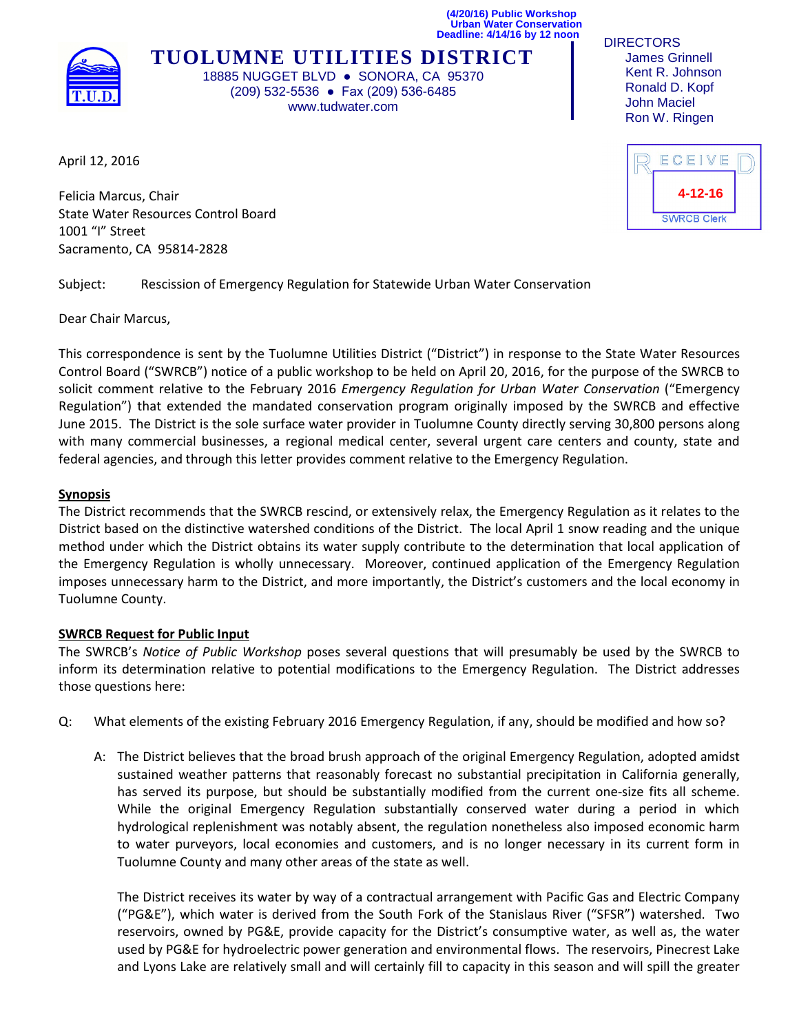**(4/20/16) Public Workshop Urban Water Conservation Deadline: 4/14/16 by 12 noon** 



**TUOLUMNE UTILITIES DISTRICT** 18885 NUGGET BLVD · SONORA, CA 95370 (209) 532-5536 ● Fax (209) 536-6485 www.tudwater.com

**DIRECTORS**  James Grinnell Kent R. Johnson Ronald D. Kopf John Maciel Ron W. Ringen

April 12, 2016

Felicia Marcus, Chair State Water Resources Control Board 1001 "I" Street Sacramento, CA 95814-2828

Subject: Rescission of Emergency Regulation for Statewide Urban Water Conservation

Dear Chair Marcus,

This correspondence is sent by the Tuolumne Utilities District ("District") in response to the State Water Resources Control Board ("SWRCB") notice of a public workshop to be held on April 20, 2016, for the purpose of the SWRCB to solicit comment relative to the February 2016 *Emergency Regulation for Urban Water Conservation* ("Emergency Regulation") that extended the mandated conservation program originally imposed by the SWRCB and effective June 2015. The District is the sole surface water provider in Tuolumne County directly serving 30,800 persons along with many commercial businesses, a regional medical center, several urgent care centers and county, state and federal agencies, and through this letter provides comment relative to the Emergency Regulation.

## **Synopsis**

The District recommends that the SWRCB rescind, or extensively relax, the Emergency Regulation as it relates to the District based on the distinctive watershed conditions of the District. The local April 1 snow reading and the unique method under which the District obtains its water supply contribute to the determination that local application of the Emergency Regulation is wholly unnecessary. Moreover, continued application of the Emergency Regulation imposes unnecessary harm to the District, and more importantly, the District's customers and the local economy in Tuolumne County.

## **SWRCB Request for Public Input**

The SWRCB's *Notice of Public Workshop* poses several questions that will presumably be used by the SWRCB to inform its determination relative to potential modifications to the Emergency Regulation. The District addresses those questions here:

- Q: What elements of the existing February 2016 Emergency Regulation, if any, should be modified and how so?
	- A: The District believes that the broad brush approach of the original Emergency Regulation, adopted amidst sustained weather patterns that reasonably forecast no substantial precipitation in California generally, has served its purpose, but should be substantially modified from the current one-size fits all scheme. While the original Emergency Regulation substantially conserved water during a period in which hydrological replenishment was notably absent, the regulation nonetheless also imposed economic harm to water purveyors, local economies and customers, and is no longer necessary in its current form in Tuolumne County and many other areas of the state as well.

The District receives its water by way of a contractual arrangement with Pacific Gas and Electric Company ("PG&E"), which water is derived from the South Fork of the Stanislaus River ("SFSR") watershed. Two reservoirs, owned by PG&E, provide capacity for the District's consumptive water, as well as, the water used by PG&E for hydroelectric power generation and environmental flows. The reservoirs, Pinecrest Lake and Lyons Lake are relatively small and will certainly fill to capacity in this season and will spill the greater

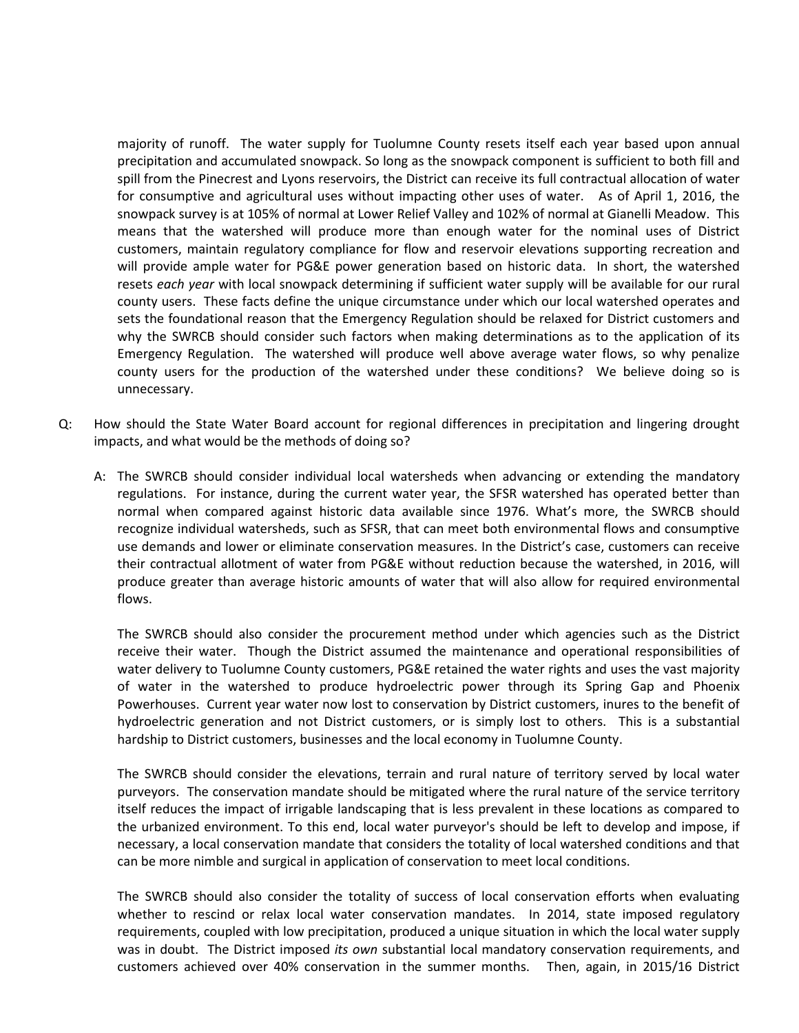majority of runoff. The water supply for Tuolumne County resets itself each year based upon annual precipitation and accumulated snowpack. So long as the snowpack component is sufficient to both fill and spill from the Pinecrest and Lyons reservoirs, the District can receive its full contractual allocation of water for consumptive and agricultural uses without impacting other uses of water. As of April 1, 2016, the snowpack survey is at 105% of normal at Lower Relief Valley and 102% of normal at Gianelli Meadow. This means that the watershed will produce more than enough water for the nominal uses of District customers, maintain regulatory compliance for flow and reservoir elevations supporting recreation and will provide ample water for PG&E power generation based on historic data. In short, the watershed resets *each year* with local snowpack determining if sufficient water supply will be available for our rural county users. These facts define the unique circumstance under which our local watershed operates and sets the foundational reason that the Emergency Regulation should be relaxed for District customers and why the SWRCB should consider such factors when making determinations as to the application of its Emergency Regulation. The watershed will produce well above average water flows, so why penalize county users for the production of the watershed under these conditions? We believe doing so is unnecessary.

- Q: How should the State Water Board account for regional differences in precipitation and lingering drought impacts, and what would be the methods of doing so?
	- A: The SWRCB should consider individual local watersheds when advancing or extending the mandatory regulations. For instance, during the current water year, the SFSR watershed has operated better than normal when compared against historic data available since 1976. What's more, the SWRCB should recognize individual watersheds, such as SFSR, that can meet both environmental flows and consumptive use demands and lower or eliminate conservation measures. In the District's case, customers can receive their contractual allotment of water from PG&E without reduction because the watershed, in 2016, will produce greater than average historic amounts of water that will also allow for required environmental flows.

The SWRCB should also consider the procurement method under which agencies such as the District receive their water. Though the District assumed the maintenance and operational responsibilities of water delivery to Tuolumne County customers, PG&E retained the water rights and uses the vast majority of water in the watershed to produce hydroelectric power through its Spring Gap and Phoenix Powerhouses. Current year water now lost to conservation by District customers, inures to the benefit of hydroelectric generation and not District customers, or is simply lost to others. This is a substantial hardship to District customers, businesses and the local economy in Tuolumne County.

The SWRCB should consider the elevations, terrain and rural nature of territory served by local water purveyors. The conservation mandate should be mitigated where the rural nature of the service territory itself reduces the impact of irrigable landscaping that is less prevalent in these locations as compared to the urbanized environment. To this end, local water purveyor's should be left to develop and impose, if necessary, a local conservation mandate that considers the totality of local watershed conditions and that can be more nimble and surgical in application of conservation to meet local conditions.

The SWRCB should also consider the totality of success of local conservation efforts when evaluating whether to rescind or relax local water conservation mandates. In 2014, state imposed regulatory requirements, coupled with low precipitation, produced a unique situation in which the local water supply was in doubt. The District imposed *its own* substantial local mandatory conservation requirements, and customers achieved over 40% conservation in the summer months. Then, again, in 2015/16 District